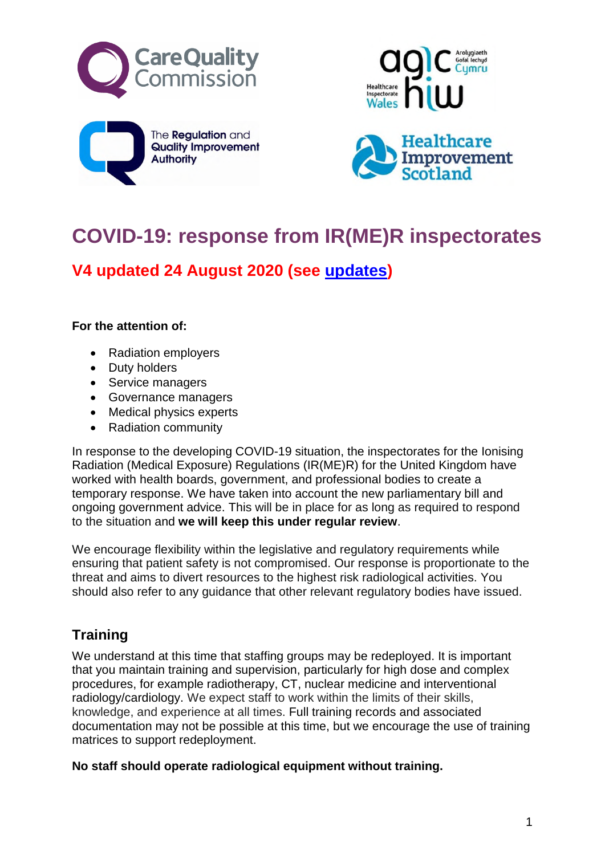







# **COVID-19: response from IR(ME)R inspectorates**

**V4 updated 24 August 2020 (see [updates](#page-1-0))**

#### **For the attention of:**

- Radiation employers
- Duty holders
- Service managers
- Governance managers
- Medical physics experts
- Radiation community

In response to the developing COVID-19 situation, the inspectorates for the Ionising Radiation (Medical Exposure) Regulations (IR(ME)R) for the United Kingdom have worked with health boards, government, and professional bodies to create a temporary response. We have taken into account the new parliamentary bill and ongoing government advice. This will be in place for as long as required to respond to the situation and **we will keep this under regular review**.

We encourage flexibility within the legislative and regulatory requirements while ensuring that patient safety is not compromised. Our response is proportionate to the threat and aims to divert resources to the highest risk radiological activities. You should also refer to any guidance that other relevant regulatory bodies have issued.

## **Training**

We understand at this time that staffing groups may be redeployed. It is important that you maintain training and supervision, particularly for high dose and complex procedures, for example radiotherapy, CT, nuclear medicine and interventional radiology/cardiology. We expect staff to work within the limits of their skills, knowledge, and experience at all times. Full training records and associated documentation may not be possible at this time, but we encourage the use of training matrices to support redeployment.

**No staff should operate radiological equipment without training.**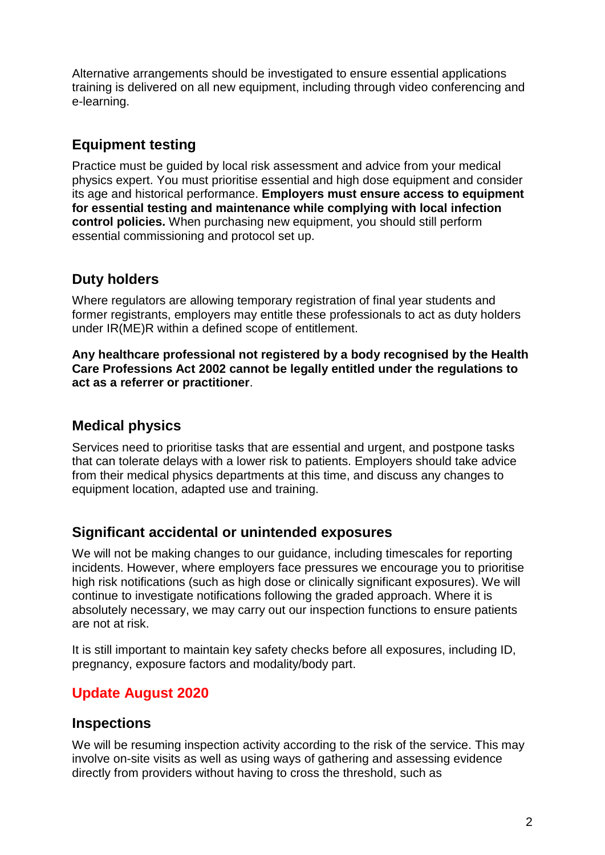Alternative arrangements should be investigated to ensure essential applications training is delivered on all new equipment, including through video conferencing and e-learning.

#### **Equipment testing**

Practice must be guided by local risk assessment and advice from your medical physics expert. You must prioritise essential and high dose equipment and consider its age and historical performance. **Employers must ensure access to equipment for essential testing and maintenance while complying with local infection control policies.** When purchasing new equipment, you should still perform essential commissioning and protocol set up.

## **Duty holders**

Where regulators are allowing temporary registration of final year students and former registrants, employers may entitle these professionals to act as duty holders under IR(ME)R within a defined scope of entitlement.

**Any healthcare professional not registered by a body recognised by the Health Care Professions Act 2002 cannot be legally entitled under the regulations to act as a referrer or practitioner**.

#### **Medical physics**

Services need to prioritise tasks that are essential and urgent, and postpone tasks that can tolerate delays with a lower risk to patients. Employers should take advice from their medical physics departments at this time, and discuss any changes to equipment location, adapted use and training.

#### **Significant accidental or unintended exposures**

We will not be making changes to our guidance, including timescales for reporting incidents. However, where employers face pressures we encourage you to prioritise high risk notifications (such as high dose or clinically significant exposures). We will continue to investigate notifications following the graded approach. Where it is absolutely necessary, we may carry out our inspection functions to ensure patients are not at risk.

It is still important to maintain key safety checks before all exposures, including ID, pregnancy, exposure factors and modality/body part.

## <span id="page-1-0"></span>**Update August 2020**

#### **Inspections**

We will be resuming inspection activity according to the risk of the service. This may involve on-site visits as well as using ways of gathering and assessing evidence directly from providers without having to cross the threshold, such as